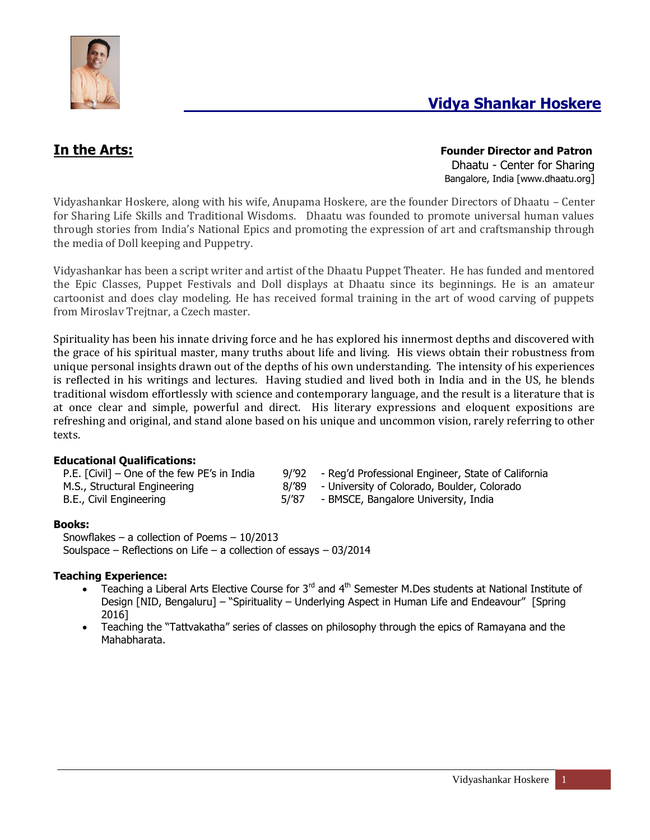

# **In the Arts: Founder Director and Patron** Dhaatu - Center for Sharing Bangalore, India [www.dhaatu.org]

Vidyashankar Hoskere, along with his wife, Anupama Hoskere, are the founder Directors of Dhaatu – Center for Sharing Life Skills and Traditional Wisdoms. Dhaatu was founded to promote universal human values through stories from India's National Epics and promoting the expression of art and craftsmanship through the media of Doll keeping and Puppetry.

Vidyashankar has been a script writer and artist of the Dhaatu Puppet Theater. He has funded and mentored the Epic Classes, Puppet Festivals and Doll displays at Dhaatu since its beginnings. He is an amateur cartoonist and does clay modeling. He has received formal training in the art of wood carving of puppets from Miroslav Trejtnar, a Czech master.

Spirituality has been his innate driving force and he has explored his innermost depths and discovered with the grace of his spiritual master, many truths about life and living. His views obtain their robustness from unique personal insights drawn out of the depths of his own understanding. The intensity of his experiences is reflected in his writings and lectures. Having studied and lived both in India and in the US, he blends traditional wisdom effortlessly with science and contemporary language, and the result is a literature that is at once clear and simple, powerful and direct. His literary expressions and eloquent expositions are refreshing and original, and stand alone based on his unique and uncommon vision, rarely referring to other texts.

# **Educational Qualifications:**

| P.E. [Civil] – One of the few PE's in India |
|---------------------------------------------|
| M.S., Structural Engineering                |
| B.E., Civil Engineering                     |

- 9/'92 Reg'd Professional Engineer, State of California
- 8/'89 University of Colorado, Boulder, Colorado
- 5/'87 BMSCE, Bangalore University, India

## **Books:**

Snowflakes – a collection of Poems – 10/2013 Soulspace – Reflections on Life – a collection of essays –  $03/2014$ 

## **Teaching Experience:**

- Teaching a Liberal Arts Elective Course for  $3<sup>rd</sup>$  and  $4<sup>th</sup>$  Semester M.Des students at National Institute of Design [NID, Bengaluru] – "Spirituality – Underlying Aspect in Human Life and Endeavour" [Spring 2016]
- Teaching the "Tattvakatha" series of classes on philosophy through the epics of Ramayana and the Mahabharata.